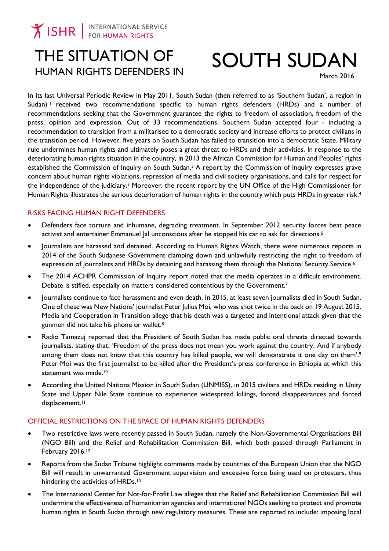## THE SITUATION OF HUMAN RIGHTS DEFENDERS IN

# SOUTH SUDAN

March 2016

In its last Universal Periodic Review in May 2011, South Sudan (then referred to as 'Southern Sudan', a region in Sudan) <sup>1</sup> received two recommendations specific to human rights defenders (HRDs) and a number of recommendations seeking that the Government guarantee the rights to freedom of association, freedom of the press, opinion and expression. Out of 33 recommendations, Southern Sudan accepted four - including a recommendation to transition from a militarised to a democratic society and increase efforts to protect civilians in the transition period. However, five years on South Sudan has failed to transition into a democratic State. Military rule undermines human rights and ultimately poses a great threat to HRDs and their activities. In response to the deteriorating human rights situation in the country, in 2013 the African Commission for Human and Peoples' rights established the Commission of Inquiry on South Sudan. <sup>2</sup> A report by the Commission of Inquiry expresses grave concern about human rights violations, repression of media and civil society organisations, and calls for respect for the independence of the judiciary.<sup>3</sup> Moreover, the recent report by the UN Office of the High Commissioner for Human Rights illustrates the serious deterioration of human rights in the country which puts HRDs in greater risk.<sup>4</sup>

### RISKS FACING HUMAN RIGHT DEFENDERS

- Defenders face torture and inhumane, degrading treatment. In September 2012 security forces beat peace activist and entertainer Emmanuel Jal unconscious after he stopped his car to ask for directions.<sup>5</sup>
- Journalists are harassed and detained. According to Human Rights Watch, there were numerous reports in 2014 of the South Sudanese Government clamping down and unlawfully restricting the right to freedom of expression of journalists and HRDs by detaining and harassing them through the National Security Service.<sup>6</sup>
- The 2014 ACHPR Commission of Inquiry report noted that the media operates in a difficult environment. Debate is stifled, especially on matters considered contentious by the Government.<sup>7</sup>
- Journalists continue to face harassment and even death. In 2015, at least seven journalists died in South Sudan. One of these was New Nations' journalist Peter Julius Moi, who was shot twice in the back on 19 August 2015. Media and Cooperation in Transition allege that his death was a targeted and intentional attack given that the gunmen did not take his phone or wallet.<sup>8</sup>
- Radio Tamazuj reported that the President of South Sudan has made public oral threats directed towards journalists, stating that: 'Freedom of the press does not mean you work against the country. And if anybody among them does not know that this country has killed people, we will demonstrate it one day on them'.<sup>9</sup> Peter Moi was the first journalist to be killed after the President's press conference in Ethiopia at which this statement was made.<sup>10</sup>
- According the United Nations Mission in South Sudan (UNMISS), in 2015 civilians and HRDs residing in Unity State and Upper Nile State continue to experience widespread killings, forced disappearances and forced displacement.<sup>11</sup>

#### OFFICIAL RESTRICTIONS ON THE SPACE OF HUMAN RIGHTS DEFENDERS

- Two restrictive laws were recently passed in South Sudan, namely the Non-Governmental Organisations Bill (NGO Bill) and the Relief and Rehabilitation Commission Bill, which both passed through Parliament in February 2016.<sup>12</sup>
- Reports from the Sudan Tribune highlight comments made by countries of the European Union that the NGO Bill will result in unwarranted Government supervision and excessive force being used on protesters, thus hindering the activities of HRDs.<sup>13</sup>
- The International Center for Not-for-Profit Law alleges that the Relief and Rehabilitation Commission Bill will undermine the effectiveness of humanitarian agencies and international NGOs seeking to protect and promote human rights in South Sudan through new regulatory measures. These are reported to include: imposing local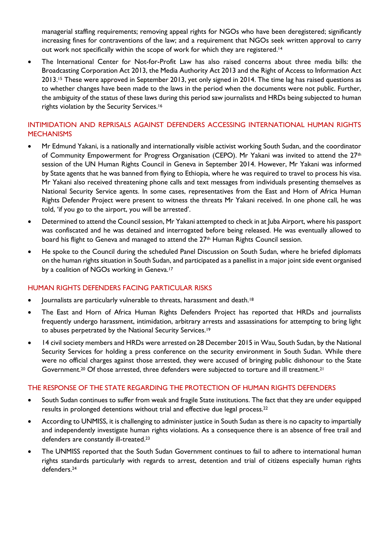managerial staffing requirements; removing appeal rights for NGOs who have been deregistered; significantly increasing fines for contraventions of the law; and a requirement that NGOs seek written approval to carry out work not specifically within the scope of work for which they are registered. 14

 The International Center for Not-for-Profit Law has also raised concerns about three media bills: the [Broadcasting Corporation Act](http://www.icnl.org/research/library/files/South%20Sudan/bcasting.pdf) 2013, the [Media Authority Act 2013](http://www.icnl.org/research/library/files/South%20Sudan/MAA2013.pdf) and the [Right of Access to Information Act](http://www.icnl.org/research/library/files/South%20Sudan/Right.pdf)  [2013.](http://www.icnl.org/research/library/files/South%20Sudan/Right.pdf) <sup>15</sup> These were approved in September 2013, yet only signed in 2014. The time lag has raised questions as to whether changes have been made to the laws in the period when the documents were not public. Further, the ambiguity of the status of these laws during this period saw journalists and HRDs being subjected to human rights violation by the Security Services.<sup>16</sup>

### INTIMIDATION AND REPRISALS AGAINST DEFENDERS ACCESSING INTERNATIONAL HUMAN RIGHTS **MECHANISMS**

- Mr Edmund Yakani, is a nationally and internationally visible activist working South Sudan, and the coordinator of Community Empowerment for Progress Organisation (CEPO). Mr Yakani was invited to attend the 27<sup>th</sup> session of the UN Human Rights Council in Geneva in September 2014. However, Mr Yakani was informed by State agents that he was banned from flying to Ethiopia, where he was required to travel to process his visa. Mr Yakani also received threatening phone calls and text messages from individuals presenting themselves as National Security Service agents. In some cases, representatives from the East and Horn of Africa Human Rights Defender Project were present to witness the threats Mr Yakani received. In one phone call, he was told, 'if you go to the airport, you will be arrested'.
- Determined to attend the Council session, Mr Yakani attempted to check in at Juba Airport, where his passport was confiscated and he was detained and interrogated before being released. He was eventually allowed to board his flight to Geneva and managed to attend the 27th Human Rights Council session.
- He spoke to the Council during the scheduled Panel Discussion on South Sudan, where he briefed diplomats on the human rights situation in South Sudan, and participated as a panellist in a major joint side event organised by a coalition of NGOs working in Geneva.<sup>17</sup>

#### HUMAN RIGHTS DEFENDERS FACING PARTICULAR RISKS

- Journalists are particularly vulnerable to threats, harassment and death.<sup>18</sup>
- The East and Horn of Africa Human Rights Defenders Project has reported that HRDs and journalists frequently undergo harassment, intimidation, arbitrary arrests and assassinations for attempting to bring light to abuses perpetrated by the National Security Services.<sup>19</sup>
- 14 civil society members and HRDs were arrested on 28 December 2015 in Wau, South Sudan, by the National Security Services for holding a press conference on the security environment in South Sudan. While there were no official charges against those arrested, they were accused of bringing public dishonour to the State Government.<sup>20</sup> Of those arrested, three defenders were subjected to torture and ill treatment.<sup>21</sup>

#### THE RESPONSE OF THE STATE REGARDING THE PROTECTION OF HUMAN RIGHTS DEFENDERS

- South Sudan continues to suffer from weak and fragile State institutions. The fact that they are under equipped results in prolonged detentions without trial and effective due legal process.<sup>22</sup>
- According to UNMISS, it is challenging to administer justice in South Sudan as there is no capacity to impartially and independently investigate human rights violations. As a consequence there is an absence of free trail and defenders are constantly ill-treated. 23
- The UNMISS reported that the South Sudan Government continues to fail to adhere to international human rights standards particularly with regards to arrest, detention and trial of citizens especially human rights defenders. 24